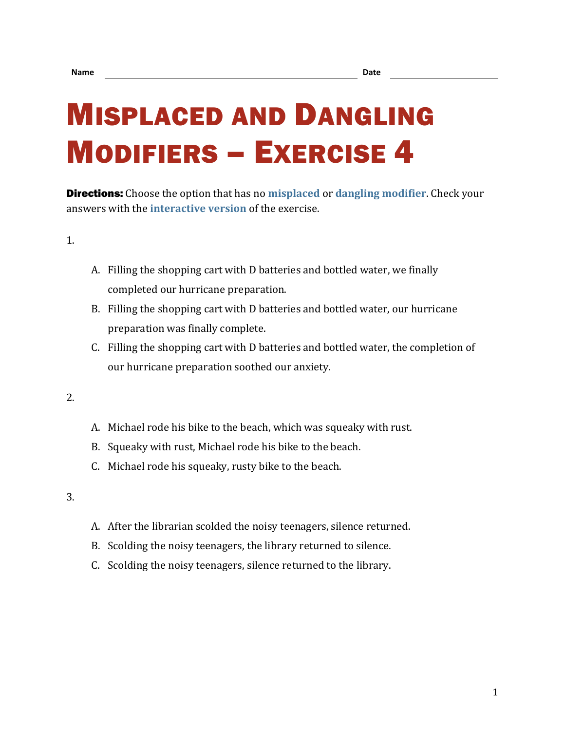# MISPLACED AND DANGLING MODIFIERS – EXERCISE 4

Directions: Choose the option that has no **[misplaced](https://chompchomp.com/terms/misplacedmodifier.htm)** or **[dangling modifier](https://chompchomp.com/terms/danglingmodifier.htm)**. Check your answers with the **[interactive version](https://chompchomp.com/modifiers04/)** of the exercise.

1.

- A. Filling the shopping cart with D batteries and bottled water, we finally completed our hurricane preparation.
- B. Filling the shopping cart with D batteries and bottled water, our hurricane preparation was finally complete.
- C. Filling the shopping cart with D batteries and bottled water, the completion of our hurricane preparation soothed our anxiety.

2.

- A. Michael rode his bike to the beach, which was squeaky with rust.
- B. Squeaky with rust, Michael rode his bike to the beach.
- C. Michael rode his squeaky, rusty bike to the beach.

- A. After the librarian scolded the noisy teenagers, silence returned.
- B. Scolding the noisy teenagers, the library returned to silence.
- C. Scolding the noisy teenagers, silence returned to the library.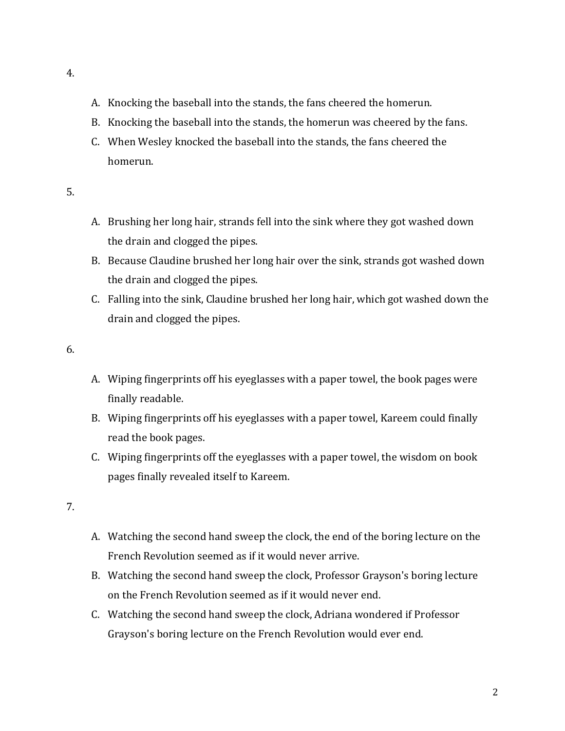- A. Knocking the baseball into the stands, the fans cheered the homerun.
- B. Knocking the baseball into the stands, the homerun was cheered by the fans.
- C. When Wesley knocked the baseball into the stands, the fans cheered the homerun.
- 5.
- A. Brushing her long hair, strands fell into the sink where they got washed down the drain and clogged the pipes.
- B. Because Claudine brushed her long hair over the sink, strands got washed down the drain and clogged the pipes.
- C. Falling into the sink, Claudine brushed her long hair, which got washed down the drain and clogged the pipes.
- 6.
- A. Wiping fingerprints off his eyeglasses with a paper towel, the book pages were finally readable.
- B. Wiping fingerprints off his eyeglasses with a paper towel, Kareem could finally read the book pages.
- C. Wiping fingerprints off the eyeglasses with a paper towel, the wisdom on book pages finally revealed itself to Kareem.

- A. Watching the second hand sweep the clock, the end of the boring lecture on the French Revolution seemed as if it would never arrive.
- B. Watching the second hand sweep the clock, Professor Grayson's boring lecture on the French Revolution seemed as if it would never end.
- C. Watching the second hand sweep the clock, Adriana wondered if Professor Grayson's boring lecture on the French Revolution would ever end.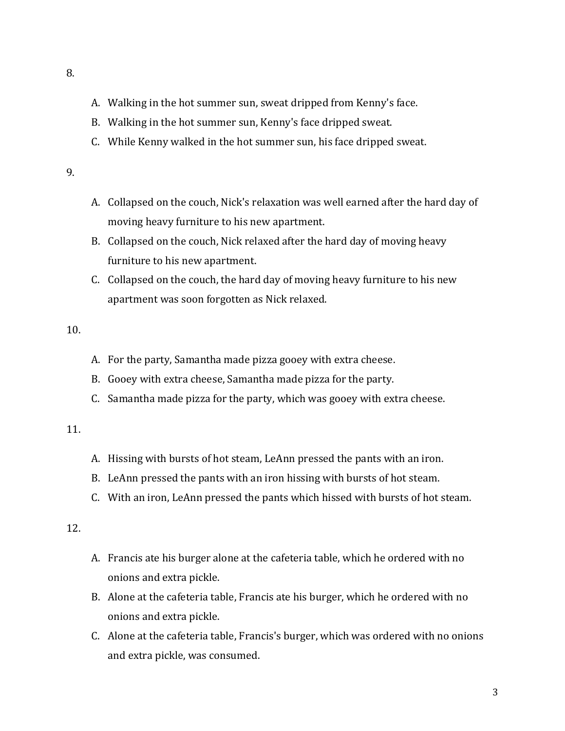- A. Walking in the hot summer sun, sweat dripped from Kenny's face.
- B. Walking in the hot summer sun, Kenny's face dripped sweat.
- C. While Kenny walked in the hot summer sun, his face dripped sweat.
- 9.
- A. Collapsed on the couch, Nick's relaxation was well earned after the hard day of moving heavy furniture to his new apartment.
- B. Collapsed on the couch, Nick relaxed after the hard day of moving heavy furniture to his new apartment.
- C. Collapsed on the couch, the hard day of moving heavy furniture to his new apartment was soon forgotten as Nick relaxed.

- A. For the party, Samantha made pizza gooey with extra cheese.
- B. Gooey with extra cheese, Samantha made pizza for the party.
- C. Samantha made pizza for the party, which was gooey with extra cheese.

### 11.

- A. Hissing with bursts of hot steam, LeAnn pressed the pants with an iron.
- B. LeAnn pressed the pants with an iron hissing with bursts of hot steam.
- C. With an iron, LeAnn pressed the pants which hissed with bursts of hot steam.

- A. Francis ate his burger alone at the cafeteria table, which he ordered with no onions and extra pickle.
- B. Alone at the cafeteria table, Francis ate his burger, which he ordered with no onions and extra pickle.
- C. Alone at the cafeteria table, Francis's burger, which was ordered with no onions and extra pickle, was consumed.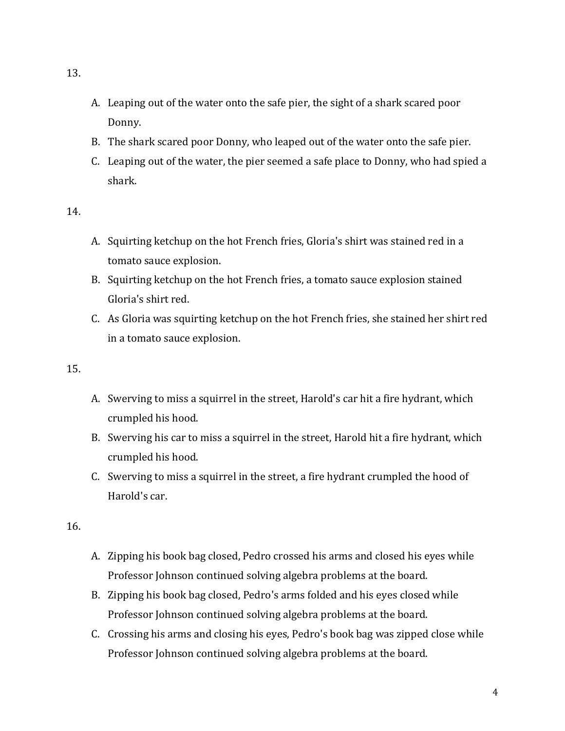- A. Leaping out of the water onto the safe pier, the sight of a shark scared poor Donny.
- B. The shark scared poor Donny, who leaped out of the water onto the safe pier.
- C. Leaping out of the water, the pier seemed a safe place to Donny, who had spied a shark.

- A. Squirting ketchup on the hot French fries, Gloria's shirt was stained red in a tomato sauce explosion.
- B. Squirting ketchup on the hot French fries, a tomato sauce explosion stained Gloria's shirt red.
- C. As Gloria was squirting ketchup on the hot French fries, she stained her shirt red in a tomato sauce explosion.

#### 15.

- A. Swerving to miss a squirrel in the street, Harold's car hit a fire hydrant, which crumpled his hood.
- B. Swerving his car to miss a squirrel in the street, Harold hit a fire hydrant, which crumpled his hood.
- C. Swerving to miss a squirrel in the street, a fire hydrant crumpled the hood of Harold's car.

- A. Zipping his book bag closed, Pedro crossed his arms and closed his eyes while Professor Johnson continued solving algebra problems at the board.
- B. Zipping his book bag closed, Pedro's arms folded and his eyes closed while Professor Johnson continued solving algebra problems at the board.
- C. Crossing his arms and closing his eyes, Pedro's book bag was zipped close while Professor Johnson continued solving algebra problems at the board.